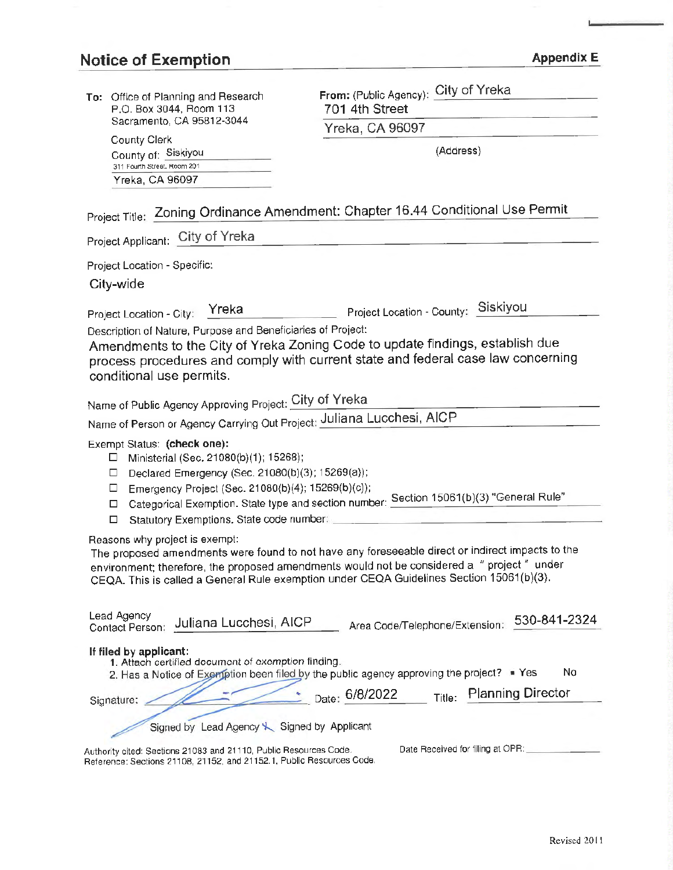# Notice of Exemption **Appendix E Appendix E**

| To: Office of Planning and Research<br>P.O. Box 3044, Room 113<br>Sacramento, CA 95812-3044<br>County Clerk                                                                                                                                                                                                                   | From: (Public Agency): City of Yreka                 |
|-------------------------------------------------------------------------------------------------------------------------------------------------------------------------------------------------------------------------------------------------------------------------------------------------------------------------------|------------------------------------------------------|
|                                                                                                                                                                                                                                                                                                                               | 701 4th Street                                       |
|                                                                                                                                                                                                                                                                                                                               | Yreka, CA 96097                                      |
| County of: Siskiyou                                                                                                                                                                                                                                                                                                           | (Address)                                            |
| 311 Fourth Street, Room 201<br>Yreka, CA 96097                                                                                                                                                                                                                                                                                |                                                      |
|                                                                                                                                                                                                                                                                                                                               |                                                      |
| Project Title: Zoning Ordinance Amendment: Chapter 16.44 Conditional Use Permit                                                                                                                                                                                                                                               |                                                      |
| Project Applicant: City of Yreka                                                                                                                                                                                                                                                                                              |                                                      |
| Project Location - Specific:                                                                                                                                                                                                                                                                                                  |                                                      |
| City-wide                                                                                                                                                                                                                                                                                                                     |                                                      |
| Yreka<br>Project Location - City:                                                                                                                                                                                                                                                                                             | Project Location - County: Siskiyou                  |
| Description of Nature, Purpose and Beneficiaries of Project:                                                                                                                                                                                                                                                                  |                                                      |
| Amendments to the City of Yreka Zoning Code to update findings, establish due                                                                                                                                                                                                                                                 |                                                      |
| process procedures and comply with current state and federal case law concerning<br>conditional use permits.                                                                                                                                                                                                                  |                                                      |
|                                                                                                                                                                                                                                                                                                                               |                                                      |
| Name of Public Agency Approving Project: City of Yreka                                                                                                                                                                                                                                                                        |                                                      |
| Name of Person or Agency Carrying Out Project: Juliana Lucchesi, AICP                                                                                                                                                                                                                                                         |                                                      |
| Exempt Status: (check one):<br>Ministerial (Sec. 21080(b)(1); 15268);<br>$\Box$<br>Declared Emergency (Sec. 21080(b)(3); 15269(a));<br>$\Box$<br>Emergency Project (Sec. 21080(b)(4); 15269(b)(c));<br>$\Box$                                                                                                                 |                                                      |
| Categorical Exemption. State type and section number: Section 15061(b)(3) "General Rule"<br>□                                                                                                                                                                                                                                 |                                                      |
| Statutory Exemptions. State code number: _____<br>□                                                                                                                                                                                                                                                                           |                                                      |
| Reasons why project is exempt:<br>The proposed amendments were found to not have any foreseeable direct or indirect impacts to the<br>environment; therefore, the proposed amendments would not be considered a " project " under<br>CEQA. This is called a General Rule exemption under CEQA Guidelines Section 15061(b)(3). |                                                      |
| <b>Lead Agency</b><br>530-841-2324<br>Juliana Lucchesi, AICP<br>Area Code/Telephone/Extension:<br>Contact Person:                                                                                                                                                                                                             |                                                      |
| If filed by applicant:<br>1. Attach certified document of exemption finding.<br>No<br>2. Has a Notice of Exemption been filed by the public agency approving the project? • Yes                                                                                                                                               |                                                      |
| Signature:                                                                                                                                                                                                                                                                                                                    | <b>Planning Director</b><br>Date: 6/8/2022<br>Title: |
| Signed by Lead Agency & Signed by Applicant                                                                                                                                                                                                                                                                                   |                                                      |
| Authority cited: Sections 21083 and 21110, Public Resources Code.<br>Reference: Sections 21108, 21152, and 21152.1, Public Resources Code.                                                                                                                                                                                    | Date Received for filing at OPR:                     |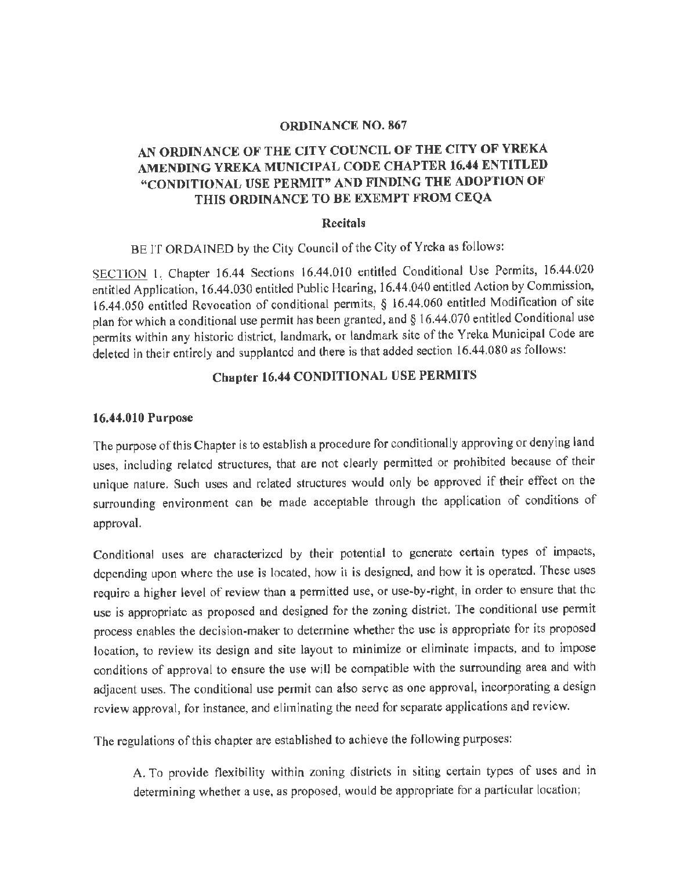#### **ORDINANCE NO. 867**

# **AN ORDINANCE OF THE CITY COUNCIL OF THE CITY OF YREKA AMENDING YREKA MUNICIPAL CODE CHAPTER 16.44 ENTITLED '~CONDITIONAL USE PERMIT" AND FINDING THE ADOPTION OF THIS ORDINANCE TO BE EXEMPT FROM CEQA**

#### **Recitals**

BE IT ORDAINED by the City Council of the City of Yreka as follows:

SECTION I. Chapter 16.44 Sections 16.44.010 entitled Conditional Use Permits, 16.44.020 entitled Application, 16.44.030 entitled Public Hearing, 16.44 .040 entitled Action by Commission, 16.44.050 entitled Revocation of conditional permits, § 16.44.060 entitled Modification of site plan for which a conditional use permit has been granted, and § 16.44.070 entitled Conditional use permits within any historic district, landmark, or landmark site of the Yreka Municipal Code are deleted in their entirely and supplanted and there is that added section 16.44.080 as follows:

# **Chapter 16.44 CONDITIONAL USE PERMITS**

#### **16.44.010 Purpose**

The purpose of this Chapter is to establish a procedure for conditionally approving or denying land uses, including related structures, that are not clearly permitted or prohibited because of their unique nature. Such uses and related structures would only be approved if their effect on the surrounding environment can be made acceptable through the application of conditions of approval.

Conditional uses are characterized by their potential to generate certain types of impacts, depending upon where the use is located, how it is designed, and how it is operated. These uses require a higher level of review than a permitted use, or use-by-right, in order to ensure that the use is appropriate as proposed and designed for the zoning district. The conditional use permit process enables the decision-maker to determine whether the use is appropriate for its proposed location, to review its design and site layout to minimize or eliminate impacts, and to impose conditions of approval to ensure the use will be compatible with the surrounding area and with adjacent uses. The conditional use permit can also serve as one approval, incorporating a design review approval, for instance, and eliminating the need for separate applications and review.

The regulations of this chapter are established to achieve the following purposes:

A. To provide flexibility within zoning districts in siting certain types of uses and in determining whether a use, as proposed, would be appropriate for a particular location;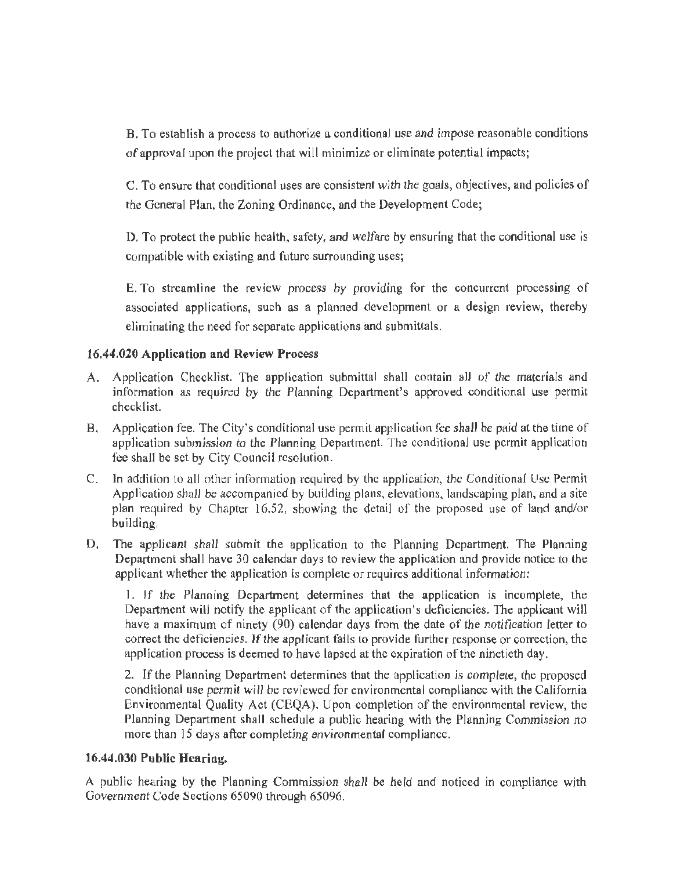B. To establish a process to authorize a conditional use and impose reasonable conditions of approval upon the project that will minimize or eliminate potential impacts;

C. To ensure that conditional uses are consistent with the goals, objectives, and policies of the General Plan, the Zoning Ordinance, and the Development Code;

D. To protect the public health, safety, and welfare by ensuring that the conditional use is compatible with existing and future surrounding uses;

E. To streamline the review process by providing for the concurrent processing of associated applications, such as a planned development or a design review, thereby eliminating the need for separate applications and submittals.

## **16.44.020 Application and Review Process**

- A. Application Checklist. The application submittal shall contain all of the materials and information as required by the Planning Department's approved conditional use permit checklist.
- B. Application fee. The City's conditional use permit application fee shall be paid at the time of application submission to the Planning Department. The conditional use permit application fee shall be set by City Council resolution.
- C. In addilion to all other information required by the application, the Conditional Use Permit Application shall be accompanied by building plans, elevations, landscaping plan, and a site plan required by Chapter 16.52, showing the detail of the proposed use of land and/or building.
- D. The applicant shall submit the application to the Planning Department. The Planning Department shall have 30 calendar days to review the application and provide notice to the applicant whether the application is complete or requires additional information:

1. If the Planning Department determines that the application is incomplete, the Department will notify the applicant of the application's deficiencies. The applicant will have a maximum of ninety (90) calendar days from the date of the notification letter to correct the deficiencies. If the applicant fails to provide further response or correction, the application process is deemed to have lapsed at the expiration of the ninetieth day.

2. If the Planning Department determines that the application is complete, the proposed conditional use permit will be reviewed for environmental compliance with the California Environmental Quality Act (CEQA). Upon completion of the environmental review, the Planning Department shall schedule a public hearing with the Planning Commission no more than 15 days after completing environmental compliance.

## **16,44.030 Public Hearing.**

A public hearing by the Planning Commission shall be held and noticed in compliance with Government Code Sections 65090 through *65096.*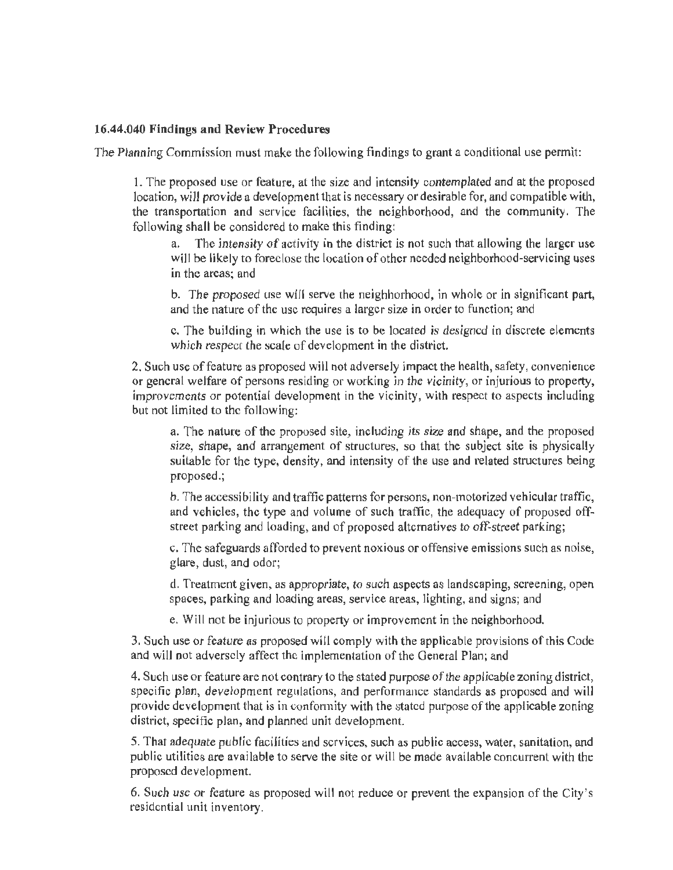#### **16.44.040 Findings and Review Procedures**

The Planning Commission must make the following findings to grant a conditional use permit:

l. The proposed use or feature, at the size and intensity contemplated and at the proposed location, will provide a development that is necessary or desirable for, and compatible with, the transportation and service facilities, the neighborhood, and the community. The following shall be considered to make this finding:

a. The intensity of activity in the district is not such that allowing the larger use will be likely to foreclose the location of other needed neighborhood-servicing uses in the areas; and

b. The proposed use will serve the neighborhood, in whole or in significant part, and the nature of the use requires a larger size in order to function; and

c. The building in which the use is to be located is designed in discrete elements which respect the scale of development in the district.

2. Such use of feature as proposed will not adversely impact the health, safety, convenience or general welfare of persons residing or working in the vicinity, or injurious to property, improvements or potential development in the vicinity, with respect to aspects including but not limited to the following:

a. The nature of the proposed site, including its size and shape, and the proposed size, shape, and arrangement of structures, so that the subject site is physically suitable for the type, density, and intensity of the use and related structures being proposed.;

b. The accessibility and traffic patterns for persons, non-motorized vehicular traffic, and vehicles, the type and volume of such traffic, the adequacy of proposed offstreet parking and loading, and of proposed alternatives to off-street parking;

c. The safeguards afforded to prevent noxious or offensive emissions such as noise, glare, dust, and odor;

d. Treatment given, as appropriate, to such aspects as landscaping, screening, open spaces, parking and loading areas, service areas, lighting, and signs; and

e. Will not be injurious to property or improvement in the neighborhood.

3. Such use or feature as proposed will comply with the applicable provisions of this Code and will not adversely affect the implementation of the General Plan; and

4. Such use or feature are not contrary to the stated purpose of the applicable zoning district, specific plan, development regulations, and performance standards as proposed and will provide deve lopment that is in conformity with the stated purpose of the applicable zoning district, specific plan, and planned unit development.

5. That adequate public facilities and services, such as public access, water, sanitation, and public utilities are available to serve the site or will be made available concurrent with the proposed development.

6. Such use or feature as proposed will not reduce or prevent the expansion of the City's residential unit inventory.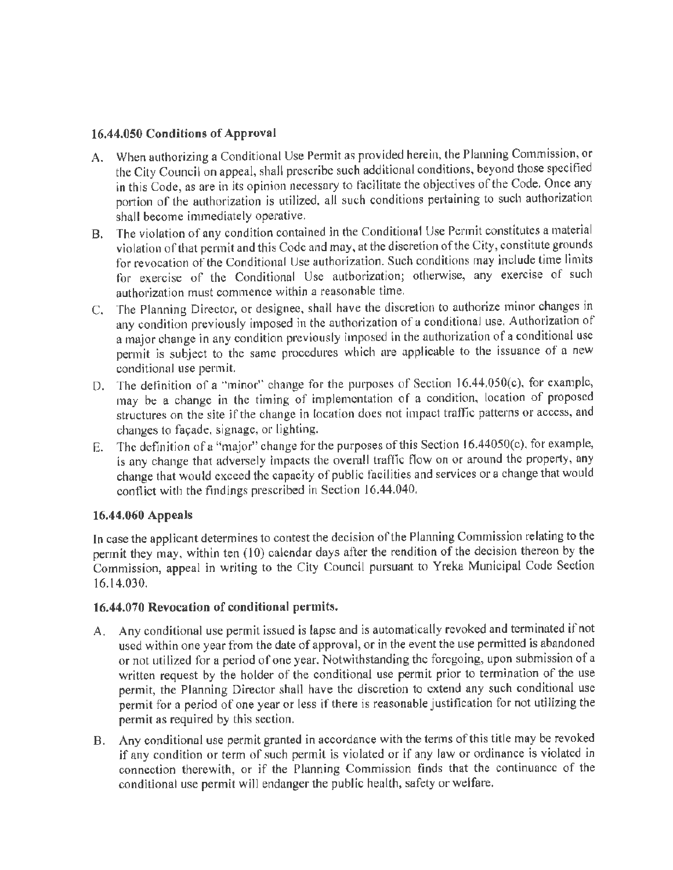## **16.44.050 Conditions of Approval**

- A. When authorizing a Conditional Use Permit as provided herein, the Planning Commission, or the City Council on appeal, shall prescribe such additional conditions, beyond those specified **in** this Code, as are in its opinion necessary to facilitate the objectives of the Code. Once any portion of the authorization is utilized, all such conditions pertaining to such authorization shall become immediately operative.
- B. The violation of any condition contained in the Conditional Use Permit constitutes a material violation of that permit and this Code and may, at the discretion of the City, constitute grounds for revocation of the Conditional Use authorization. Such conditions may include time limits for exercise of the Conditional Use authorization; otherwise, any exercise of such authorization must commence witnin a reasonable time.
- C. The Planning Director, or designec, shall have the discretion to authorize minor changes in any condition previously imposed in the authorization of a conditional use. Authorization of a major change in any condition previously imposed in the authorization of a conditional use permit is subject to the same procedures which are applicable to the issuance of a new conditional use permit.
- D. The definition of a "minor'' change for the purposes of Section 16.44.050(c), for example, may be a change in the timing of implementation of a condition, location of proposed structures on the site if the change in location does not impact traffic patterns or access, and changes to façade, signage, or lighting.
- E. The definition of a "major" change for the purposes of this Section 16.44050(c), for example, is any change that adversely impacts the overall traffic flow on or around the property, any change that would exceed the capacity of public facilities and services or a change that would conflict with the findings prescribed in Section 16.44.040,

# **16.44.060 Appeals**

In case the applicant determines to contest the decision of the Planning Commission relating to the permit they may, within ten (10) calendar days after the rendition of the decision thereon by the Commission, appeal in writing to the City Council pursuant to Yreka Municipal Code Section 16.14.030.

## **16.44.070 Revocation of conditional permits.**

- A. Any conditional use permit issued is lapse and is automatically revoked and terminated if not used within one year from the date of approval, or in the event the use permitted is abandoned or not utilized for a period of one year. Notwithstanding the foregoing, upon submission of a written request by the holder of the conditional use permit prior to termination of the use permit, the Planning Director shall have the discretion to extend any such conditional use permit for a period of one year or less if there is reasonable justification for not utilizing the permit as required by this section.
- B. Any conditional use permit granted in accordance with the terms of this title may be revoked if any condition or term of such permit is violated or if any law or ordinance is violated in connection therewith, or if the Planning Commission finds that the continuance of the conditional use permit will endanger the public health, safety or welfare.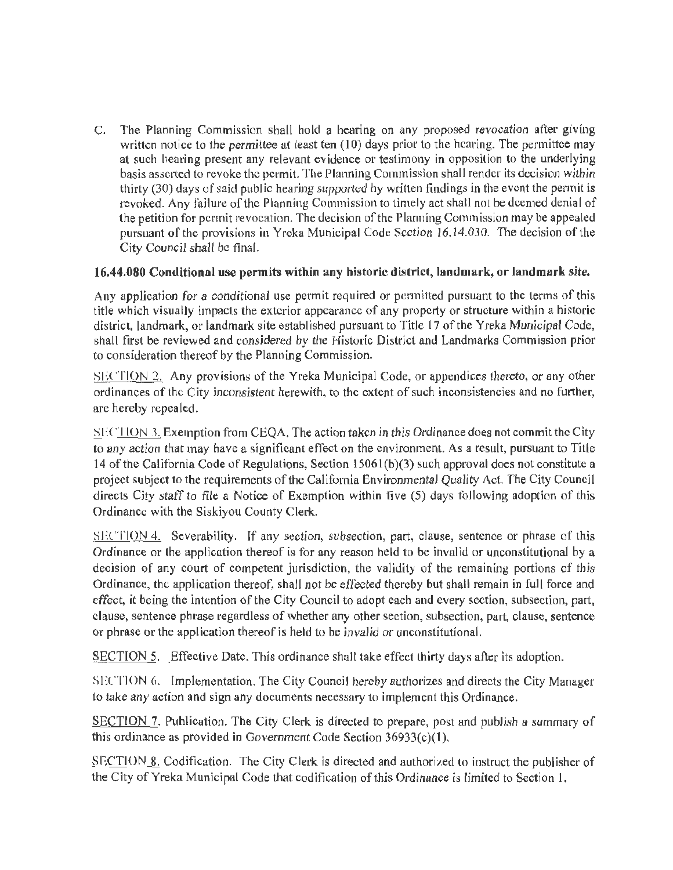C. The Planning Commission shall hold a hearing on any proposed revocation after giving written notice to the permittee at least ten  $(10)$  days prior to the hearing. The permittee may at such hearing present any relevant evidence or testimony in opposition to the underlying basis asserted to revoke the permit. The Planning Commission shall render its decision within thirty (30) days of said public hearing supported by written findings in the event the permit is revoked. Any failure of the Planning Commission to timely act shall not be deemed denial of the petition for permit revocation. The decision of the Planning Commission may be appealed pursuant of the provisions in Yreka Municipal Code Section 16.14.030. The decision of the City Council shall be final.

## 16.44.080 Conditional use permits within any historic district, landmark, or landmark site.

Any application for a conditional use permit required or permitted pursuant to the terms of this title which visually impacts the exterior appearance of any property or structure within a historic district, landmark, or landmark site established pursuant to Title 17 of the Yreka Municipal Code, shall first be reviewed and considered by the Historic District and Landmarks Commission prior to consideration thereof by the Planning Commission.

SECTION 2. Any provisions of the Yreka Municipal Code, or appendices thereto, or any other ordinances of the City inconsistent herewith, to the extent of such inconsistencies and no further, are hereby repealed.

SECTION 3. Exemption from CEQA. The action taken in this Ordinance does not commit the City to any action that may have a significant effect on the environment. As a result, pursuant to Title 14 of the California Code of Regulations, Section l 506 l(b)(3) such approval does not constitute a project subject to the requirements of the California Environmental Quality Act. The City Council directs City staff to file a Notice of Exemption within five (5) days following adoption of this Ordinance with the Siskiyou County Clerk.

 $SICTION 4.$  Severability. If any section, subsection, part, clause, sentence or phrase of this Ordinance or lhe application thereof is for any reason held to be invalid or unconstitutional by a decision of any court of competent jurisdiction, the validity of the remaining portions of this Ordinance, the application thereof, shall not be effected thereby but shall remain in full force and effect, it being the intention of the City Council to adopt each and every section, subsection, part, clause, sentence phrase regardless of whether any other section, subsection, part, clause, sentence or phrase or the application thereof is held to be invalid or unconstitutional.

SECTION 5. Effective Date. This ordinance shall take effect lhirty days after its adoption.

SECTION 6. Implementation. The City Council hereby authorizes and directs the City Manager to take any action and sign any documents necessary to implement this Ordinance.

SECTION 7. Publication. The City Clerk is directed to prepare, post and publish a summary of this ordinance as provided in Government Code Section 36933(c)(1).

SECTION 8. Codification. The City Clerk is directed and authorized to instruct the publisher of the City of Yreka Municipal Code that codification of this Ordinance is limited to Section I.